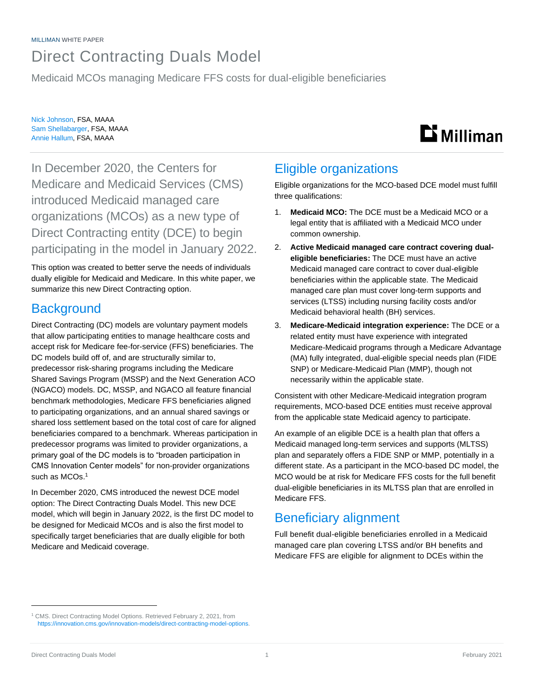## Direct Contracting Duals Model

Medicaid MCOs managing Medicare FFS costs for dual-eligible beneficiaries

Nick Johnson, FSA, MAAA Sam Shellabarger, FSA, MAAA Annie Hallum, FSA, MAAA

# **Li** Milliman

In December 2020, the Centers for Medicare and Medicaid Services (CMS) introduced Medicaid managed care organizations (MCOs) as a new type of Direct Contracting entity (DCE) to begin participating in the model in January 2022.

This option was created to better serve the needs of individuals dually eligible for Medicaid and Medicare. In this white paper, we summarize this new Direct Contracting option.

### **Background**

Direct Contracting (DC) models are voluntary payment models that allow participating entities to manage healthcare costs and accept risk for Medicare fee-for-service (FFS) beneficiaries. The DC models build off of, and are structurally similar to, predecessor risk-sharing programs including the Medicare Shared Savings Program (MSSP) and the Next Generation ACO (NGACO) models. DC, MSSP, and NGACO all feature financial benchmark methodologies, Medicare FFS beneficiaries aligned to participating organizations, and an annual shared savings or shared loss settlement based on the total cost of care for aligned beneficiaries compared to a benchmark. Whereas participation in predecessor programs was limited to provider organizations, a primary goal of the DC models is to "broaden participation in CMS Innovation Center models" for non-provider organizations such as MCOs. 1

In December 2020, CMS introduced the newest DCE model option: The Direct Contracting Duals Model. This new DCE model, which will begin in January 2022, is the first DC model to be designed for Medicaid MCOs and is also the first model to specifically target beneficiaries that are dually eligible for both Medicare and Medicaid coverage.

### Eligible organizations

Eligible organizations for the MCO-based DCE model must fulfill three qualifications:

- 1. **Medicaid MCO:** The DCE must be a Medicaid MCO or a legal entity that is affiliated with a Medicaid MCO under common ownership.
- 2. **Active Medicaid managed care contract covering dualeligible beneficiaries:** The DCE must have an active Medicaid managed care contract to cover dual-eligible beneficiaries within the applicable state. The Medicaid managed care plan must cover long-term supports and services (LTSS) including nursing facility costs and/or Medicaid behavioral health (BH) services.
- 3. **Medicare-Medicaid integration experience:** The DCE or a related entity must have experience with integrated Medicare-Medicaid programs through a Medicare Advantage (MA) fully integrated, dual-eligible special needs plan (FIDE SNP) or Medicare-Medicaid Plan (MMP), though not necessarily within the applicable state.

Consistent with other Medicare-Medicaid integration program requirements, MCO-based DCE entities must receive approval from the applicable state Medicaid agency to participate.

An example of an eligible DCE is a health plan that offers a Medicaid managed long-term services and supports (MLTSS) plan and separately offers a FIDE SNP or MMP, potentially in a different state. As a participant in the MCO-based DC model, the MCO would be at risk for Medicare FFS costs for the full benefit dual-eligible beneficiaries in its MLTSS plan that are enrolled in Medicare FFS.

### Beneficiary alignment

Full benefit dual-eligible beneficiaries enrolled in a Medicaid managed care plan covering LTSS and/or BH benefits and Medicare FFS are eligible for alignment to DCEs within the

<sup>1</sup> CMS. Direct Contracting Model Options. Retrieved February 2, 2021, from [https://innovation.cms.gov/innovation-models/direct-contracting-model-options.](https://innovation.cms.gov/innovation-models/direct-contracting-model-options)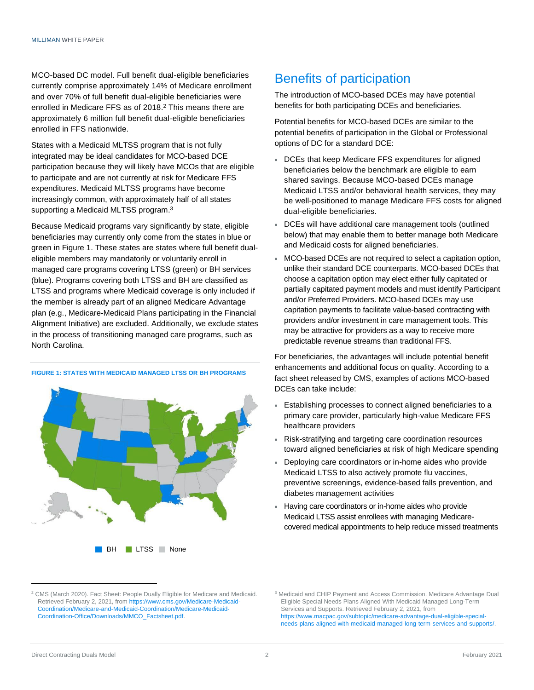MCO-based DC model. Full benefit dual-eligible beneficiaries currently comprise approximately 14% of Medicare enrollment and over 70% of full benefit dual-eligible beneficiaries were enrolled in Medicare FFS as of 2018. <sup>2</sup> This means there are approximately 6 million full benefit dual-eligible beneficiaries enrolled in FFS nationwide.

States with a Medicaid MLTSS program that is not fully integrated may be ideal candidates for MCO-based DCE participation because they will likely have MCOs that are eligible to participate and are not currently at risk for Medicare FFS expenditures. Medicaid MLTSS programs have become increasingly common, with approximately half of all states supporting a Medicaid MLTSS program.<sup>3</sup>

Because Medicaid programs vary significantly by state, eligible beneficiaries may currently only come from the states in blue or green in Figure 1. These states are states where full benefit dualeligible members may mandatorily or voluntarily enroll in managed care programs covering LTSS (green) or BH services (blue). Programs covering both LTSS and BH are classified as LTSS and programs where Medicaid coverage is only included if the member is already part of an aligned Medicare Advantage plan (e.g., Medicare-Medicaid Plans participating in the Financial Alignment Initiative) are excluded. Additionally, we exclude states in the process of transitioning managed care programs, such as North Carolina.

#### **FIGURE 1: STATES WITH MEDICAID MANAGED LTSS OR BH PROGRAMS**

**BH** LTSS None

### Benefits of participation

The introduction of MCO-based DCEs may have potential benefits for both participating DCEs and beneficiaries.

Potential benefits for MCO-based DCEs are similar to the potential benefits of participation in the Global or Professional options of DC for a standard DCE:

- DCEs that keep Medicare FFS expenditures for aligned beneficiaries below the benchmark are eligible to earn shared savings. Because MCO-based DCEs manage Medicaid LTSS and/or behavioral health services, they may be well-positioned to manage Medicare FFS costs for aligned dual-eligible beneficiaries.
- DCEs will have additional care management tools (outlined below) that may enable them to better manage both Medicare and Medicaid costs for aligned beneficiaries.
- MCO-based DCEs are not required to select a capitation option, unlike their standard DCE counterparts. MCO-based DCEs that choose a capitation option may elect either fully capitated or partially capitated payment models and must identify Participant and/or Preferred Providers. MCO-based DCEs may use capitation payments to facilitate value-based contracting with providers and/or investment in care management tools. This may be attractive for providers as a way to receive more predictable revenue streams than traditional FFS.

For beneficiaries, the advantages will include potential benefit enhancements and additional focus on quality. According to a fact sheet released by CMS, examples of actions MCO-based DCEs can take include:

- Establishing processes to connect aligned beneficiaries to a primary care provider, particularly high-value Medicare FFS healthcare providers
- Risk-stratifying and targeting care coordination resources toward aligned beneficiaries at risk of high Medicare spending
- Deploying care coordinators or in-home aides who provide Medicaid LTSS to also actively promote flu vaccines, preventive screenings, evidence-based falls prevention, and diabetes management activities
- Having care coordinators or in-home aides who provide Medicaid LTSS assist enrollees with managing Medicarecovered medical appointments to help reduce missed treatments

<sup>&</sup>lt;sup>2</sup> CMS (March 2020). Fact Sheet: People Dually Eligible for Medicare and Medicaid. Retrieved February 2, 2021, fro[m https://www.cms.gov/Medicare-Medicaid-](https://www.cms.gov/Medicare-Medicaid-Coordination/Medicare-and-Medicaid-Coordination/Medicare-Medicaid-Coordination-Office/Downloads/MMCO_Factsheet.pdf)[Coordination/Medicare-and-Medicaid-Coordination/Medicare-Medicaid-](https://www.cms.gov/Medicare-Medicaid-Coordination/Medicare-and-Medicaid-Coordination/Medicare-Medicaid-Coordination-Office/Downloads/MMCO_Factsheet.pdf)[Coordination-Office/Downloads/MMCO\\_Factsheet.pdf.](https://www.cms.gov/Medicare-Medicaid-Coordination/Medicare-and-Medicaid-Coordination/Medicare-Medicaid-Coordination-Office/Downloads/MMCO_Factsheet.pdf)

<sup>3</sup> Medicaid and CHIP Payment and Access Commission. Medicare Advantage Dual Eligible Special Needs Plans Aligned With Medicaid Managed Long-Term Services and Supports. Retrieved February 2, 2021, from [https://www.macpac.gov/subtopic/medicare-advantage-dual-eligible-special](https://www.macpac.gov/subtopic/medicare-advantage-dual-eligible-special-needs-plans-aligned-with-medicaid-managed-long-term-services-and-supports/)[needs-plans-aligned-with-medicaid-managed-long-term-services-and-supports/.](https://www.macpac.gov/subtopic/medicare-advantage-dual-eligible-special-needs-plans-aligned-with-medicaid-managed-long-term-services-and-supports/)